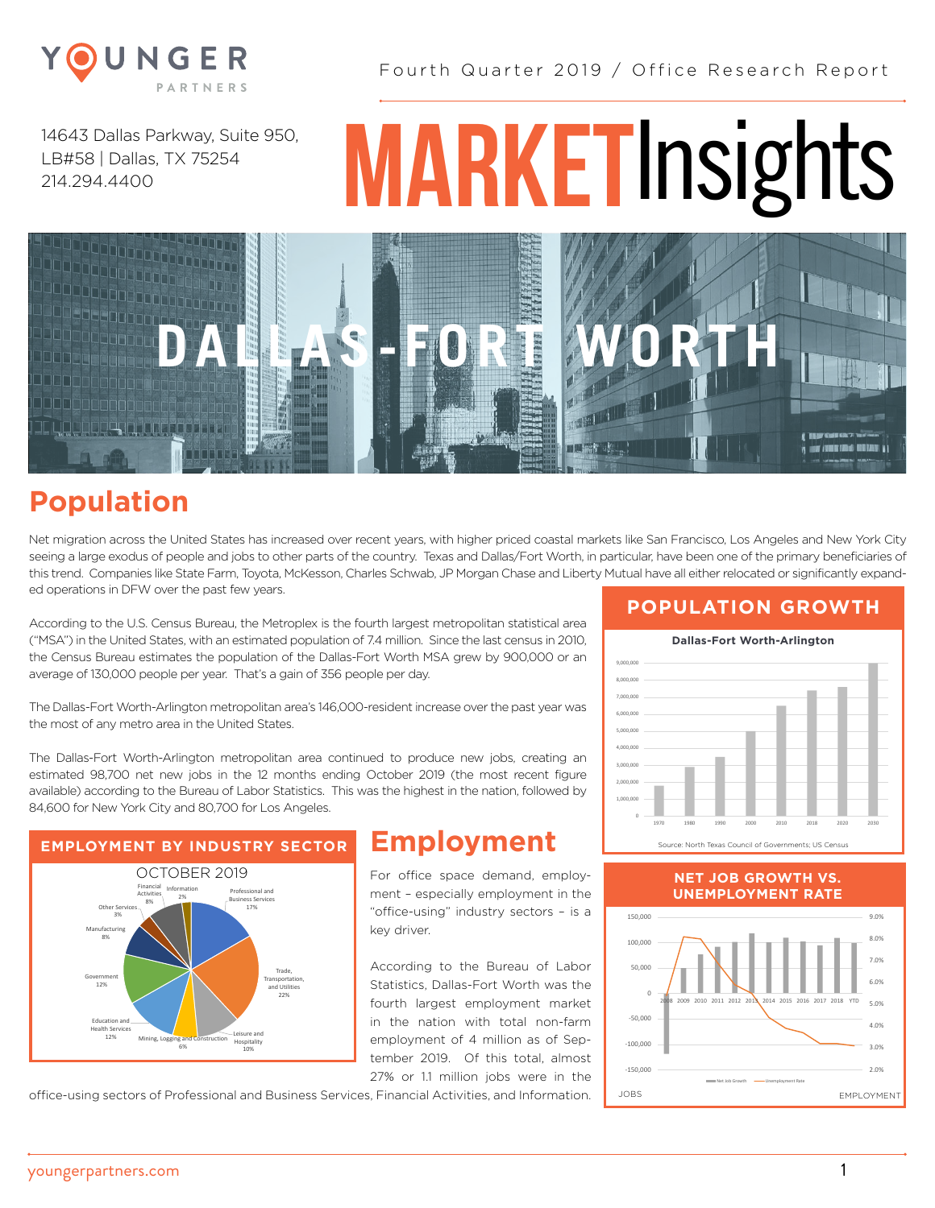

14643 Dallas Parkway, Suite 950, LB#58 | Dallas, TX 75254 214.294.4400

# **MARKET**Insights



## **Population**

Net migration across the United States has increased over recent years, with higher priced coastal markets like San Francisco, Los Angeles and New York City seeing a large exodus of people and jobs to other parts of the country. Texas and Dallas/Fort Worth, in particular, have been one of the primary beneficiaries of this trend. Companies like State Farm, Toyota, McKesson, Charles Schwab, JP Morgan Chase and Liberty Mutual have all either relocated or significantly expanded operations in DFW over the past few years.

According to the U.S. Census Bureau, the Metroplex is the fourth largest metropolitan statistical area ("MSA") in the United States, with an estimated population of 7.4 million. Since the last census in 2010, the Census Bureau estimates the population of the Dallas-Fort Worth MSA grew by 900,000 or an average of 130,000 people per year. That's a gain of 356 people per day.

The Dallas-Fort Worth-Arlington metropolitan area's 146,000-resident increase over the past year was the most of any metro area in the United States.

The Dallas-Fort Worth-Arlington metropolitan area continued to produce new jobs, creating an estimated 98,700 net new jobs in the 12 months ending October 2019 (the most recent figure available) according to the Bureau of Labor Statistics. This was the highest in the nation, followed by 84,600 for New York City and 80,700 for Los Angeles.



For office space demand, employment – especially employment in the "office-using" industry sectors – is a key driver.

According to the Bureau of Labor Statistics, Dallas-Fort Worth was the fourth largest employment market in the nation with total non-farm employment of 4 million as of September 2019. Of this total, almost 27% or 1.1 million jobs were in the

office-using sectors of Professional and Business Services, Financial Activities, and Information.

#### **POPULATION GROWTH**



#### **NET JOB GROWTH VS. UNEMPLOYMENT RATE**



youngerpartners.com 1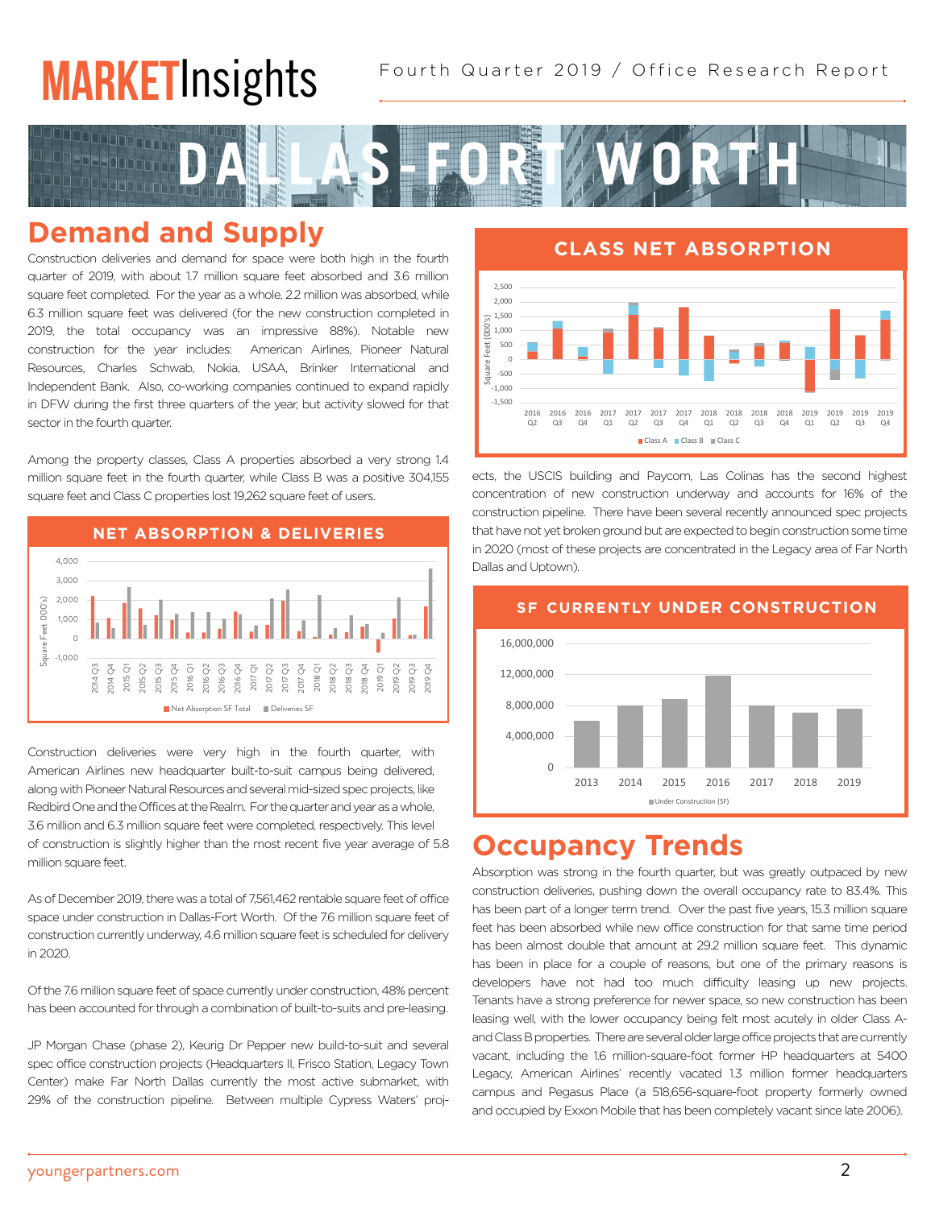# **MARKETInsights**



### **Demand and Supply**

Construction deliveries and demand for space were both high in the fourth quarter of 2019, with about 1.7 million square feet absorbed and 3.6 million square feet completed. For the year as a whole, 2.2 million was absorbed, while 6.3 million square feet was delivered (for the new construction completed in 2019, the total occupancy was an impressive 88%). Notable new construction for the year includes: American Airlines, Pioneer Natural Resources, Charles Schwab, Nokia, USAA, Brinker International and Independent Bank. Also, co-working companies continued to expand rapidly in DFW during the first three quarters of the year, but activity slowed for that sector in the fourth quarter.

Among the property classes, Class A properties absorbed a very strong 1.4 million square feet in the fourth quarter, while Class B was a positive 304,155 square feet and Class C properties lost 19,262 square feet of users.



Construction deliveries were very high in the fourth quarter, with American Airlines new headquarter built-to-suit campus being delivered, along with Pioneer Natural Resources and several mid-sized spec projects, like Redbird One and the Offices at the Realm. For the quarter and year as a whole, 3.6 million and 6.3 million square feet were completed, respectively. This level of construction is slightly higher than the most recent five year average of 5.8 million square feet. 2,000 n<br>Sc<br>Jic

As of December 2019, there was a total of 7,561,462 rentable square feet of office space under construction in Dallas-Fort Worth. Of the 7.6 million square feet of construction currently underway, 4.6 million square feet is scheduled for delivery in 2020.

Of the 7.6 million square feet of space currently under construction, 48% percent has been accounted for through a combination of built-to-suits and pre-leasing.

JP Morgan Chase (phase 2), Keurig Dr Pepper new build-to-suit and several spec office construction projects (Headquarters II, Frisco Station, Legacy Town Center) make Far North Dallas currently the most active submarket, with 29% of the construction pipeline. Between multiple Cypress Waters' proj-

**CLASS NET ABSORPTION** Class Net Absorption 2,500 2,000 1,500 Square Feet (000's) 1,000 eet. 500  $\overline{0}$  $\frac{1}{2}$  -500<br> $\frac{1}{2}$  -500 -500  $-1,500$ 2018 2017 2017 2017 2017 2018 2018 2018 2019 2019 2019 2019 2016 2016 2016  $\frac{1}{01}$  $\frac{1}{2}$  $Q3$  $\frac{1}{04}$  $\frac{1}{\alpha}$ Q3 Q2 Q3 Q4 Q2 Q4 Q1 Q2 Q3 Q4 Class A Class B Class C

ects, the USCIS building and Paycom, Las Colinas has the second highest concentration of new construction underway and accounts for 16% of the construction pipeline. There have been several recently announced spec projects that have not yet broken ground but are expected to begin construction some time in 2020 (most of these projects are concentrated in the Legacy area of Far North Dallas and Uptown).



#### Dallas CBD **Occupancy Trends**

Absorption was strong in the fourth quarter, but was greatly outpaced by new construction deliveries, pushing down the overall occupancy rate to 83.4%. This has been part of a longer term trend. Over the past five years, 15.3 million square feet has been absorbed while new office construction for that same time period has been almost double that amount at 29.2 million square feet. This dynamic has been in place for a couple of reasons, but one of the primary reasons is developers have not had too much difficulty leasing up new projects. Tenants have a strong preference for newer space, so new construction has been leasing well, with the lower occupancy being felt most acutely in older Class Aand Class B properties. There are several older large office projects that are currently vacant, including the 1.6 million-square-foot former HP headquarters at 5400 Legacy, American Airlines' recently vacated 1.3 million former headquarters 16% campus and Pegasus Place (a 518,656-square-foot property formerly owned and occupied by Exxon Mobile that has been completely vacant since late 2006). East Dallas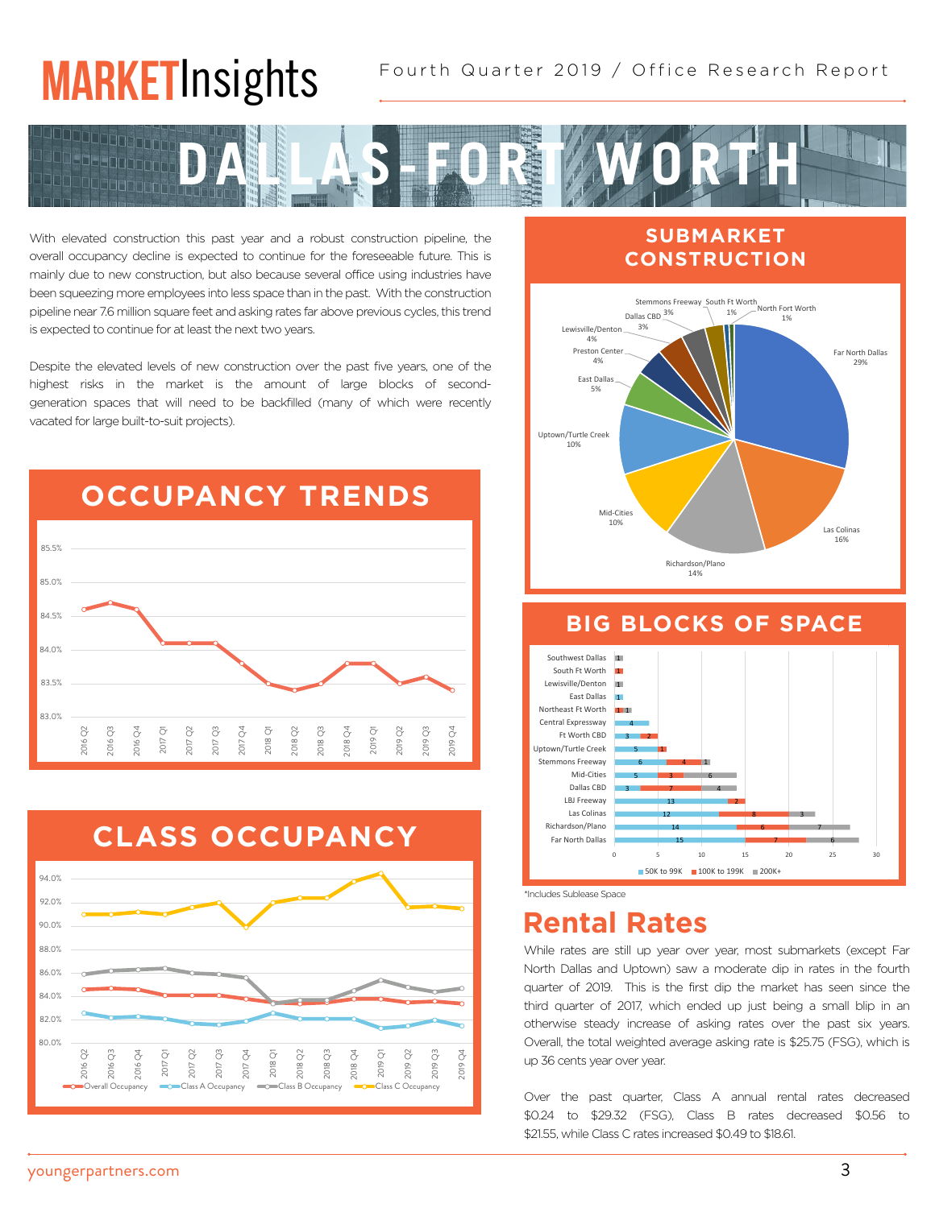# **MARKET**Insights



With elevated construction this past year and a robust construction pipeline, the overall occupancy decline is expected to continue for the foreseeable future. This is mainly due to new construction, but also because several office using industries have been squeezing more employees into less space than in the past. With the construction pipeline near 7.6 million square feet and asking rates far above previous cycles, this trend is expected to continue for at least the next two years.

Despite the elevated levels of new construction over the past five years, one of the highest risks in the market is the amount of large blocks of secondgeneration spaces that will need to be backfilled (many of which were recently vacated for large built-to-suit projects).





#### **SUBMARKET** CONSTRUCTION



#### **BIG BLOCKS OF SPACE**



<sup>\*</sup>Includes Sublease Space

## **Rental Rates**

While rates are still up year over year, most submarkets (except Far North Dallas and Uptown) saw a moderate dip in rates in the fourth quarter of 2019. This is the first dip the market has seen since the<br>third quarter of 2017 which ended up just being a small blip in an third quarter of 2017, which ended up just being a small blip in an otherwise steady increase of asking rates over the past six years. Overall, the total weighted average asking rate is \$25.75 (FSG), which is up 36 cents year over year.<br>

Over the past quarter, Class A annual rental rates decreased \$0.24 to \$29.32 (FSG), Class B rates decreased \$0.56 to \$21.55, while Class C rates increased \$0.49 to \$18.61.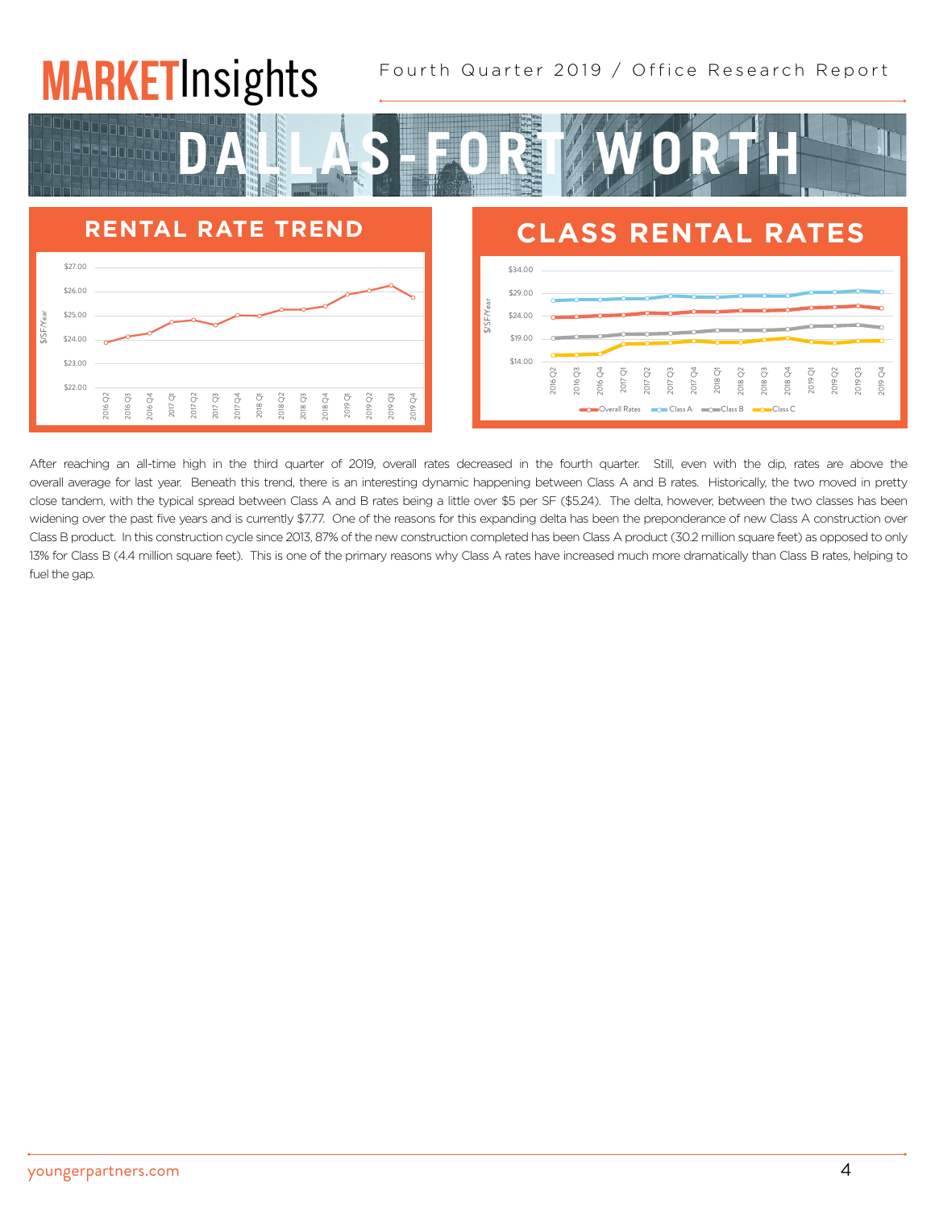#### Fourth Quarter 2019 / Office Research Report **MARKET**Insights 6 5 3 1 1 6 1 Mid-Cities Stemmons Freeway Uptown/Turtle Creek

14 10

Richardson/Plano Las Colinas



6

0 5 10 15 20 25 30

6



After reaching an all-time high in the third quarter of 2019, overall rates decreased in the fourth quarter. Still, even with the dip, rates are above the overall average for last year. Beneath this trend, there is an interesting dynamic happening between Class A and B rates. Historically, the two moved in pretty close tandem, with the typical spread between Class A and B rates being a little over \$5 per SF (\$5.24). The delta, however, between the two classes has been widening over the past five years and is currently \$7.77. One of the reasons for this expanding delta has been the preponderance of new Class A construction over Class B product. In this construction cycle since 2013, 87% of the new construction completed has been Class A product (30.2 million square feet) as opposed to only 13% for Class B (4.4 million square feet). This is one of the primary reasons why Class A rates have increased much more dramatically than Class B rates, helping to fuel the gap.

DALLAS-FORT WORTH